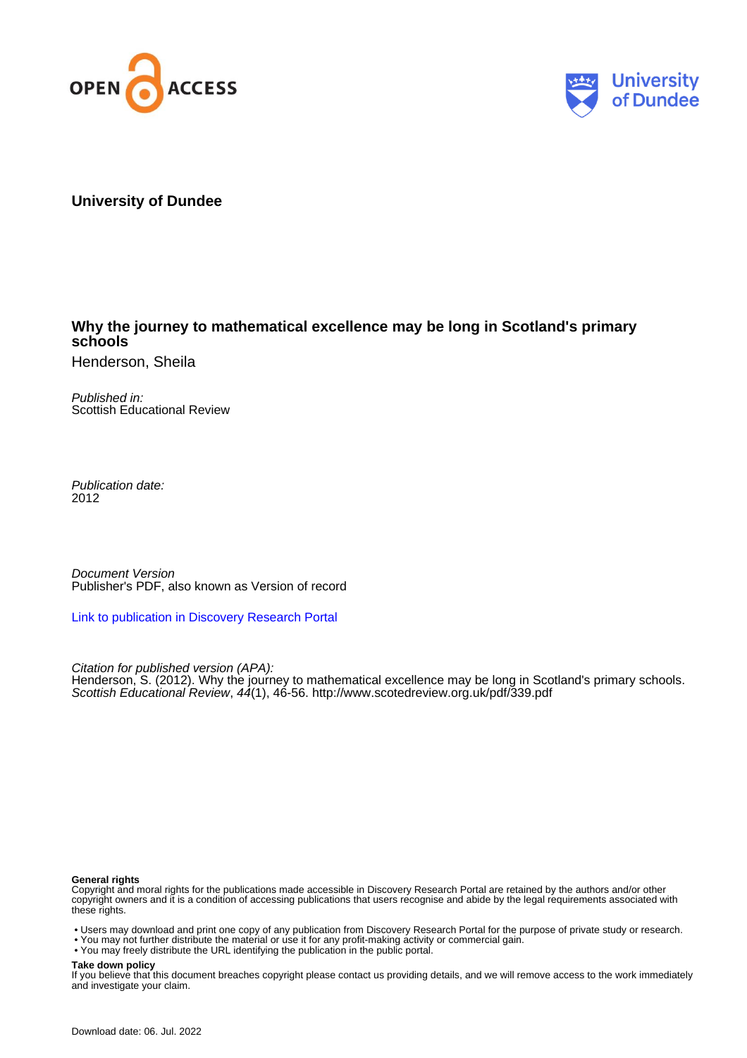



# **University of Dundee**

# **Why the journey to mathematical excellence may be long in Scotland's primary schools**

Henderson, Sheila

Published in: Scottish Educational Review

Publication date: 2012

Document Version Publisher's PDF, also known as Version of record

[Link to publication in Discovery Research Portal](https://discovery.dundee.ac.uk/en/publications/06d76ae7-5751-42f3-a167-d23b7dbb5bc6)

Citation for published version (APA): Henderson, S. (2012). Why the journey to mathematical excellence may be long in Scotland's primary schools. Scottish Educational Review, 44(1), 46-56. <http://www.scotedreview.org.uk/pdf/339.pdf>

#### **General rights**

Copyright and moral rights for the publications made accessible in Discovery Research Portal are retained by the authors and/or other copyright owners and it is a condition of accessing publications that users recognise and abide by the legal requirements associated with these rights.

• Users may download and print one copy of any publication from Discovery Research Portal for the purpose of private study or research.

- You may not further distribute the material or use it for any profit-making activity or commercial gain.
- You may freely distribute the URL identifying the publication in the public portal.

### **Take down policy**

If you believe that this document breaches copyright please contact us providing details, and we will remove access to the work immediately and investigate your claim.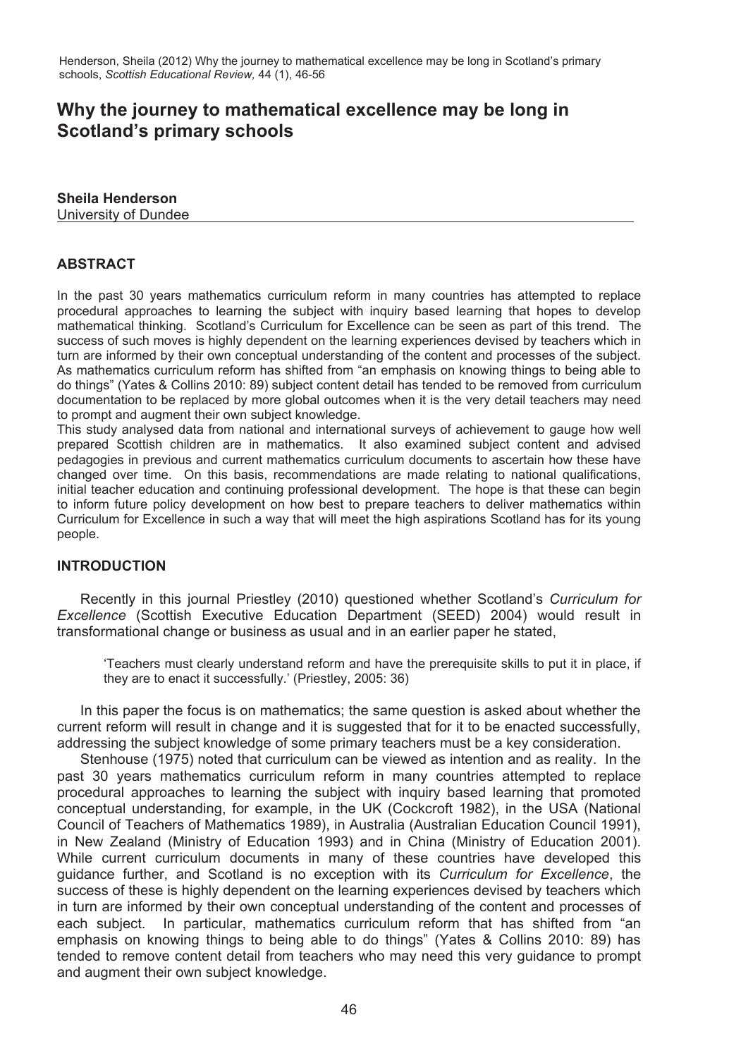# **Why the journey to mathematical excellence may be long in Scotland's primary schools**

# **Sheila Henderson**

University of Dundee

## **ABSTRACT**

In the past 30 years mathematics curriculum reform in many countries has attempted to replace procedural approaches to learning the subject with inquiry based learning that hopes to develop mathematical thinking. Scotland's Curriculum for Excellence can be seen as part of this trend. The success of such moves is highly dependent on the learning experiences devised by teachers which in turn are informed by their own conceptual understanding of the content and processes of the subject. As mathematics curriculum reform has shifted from "an emphasis on knowing things to being able to do things" (Yates & Collins 2010: 89) subject content detail has tended to be removed from curriculum documentation to be replaced by more global outcomes when it is the very detail teachers may need to prompt and augment their own subject knowledge.

This study analysed data from national and international surveys of achievement to gauge how well prepared Scottish children are in mathematics. It also examined subject content and advised pedagogies in previous and current mathematics curriculum documents to ascertain how these have changed over time. On this basis, recommendations are made relating to national qualifications, initial teacher education and continuing professional development. The hope is that these can begin to inform future policy development on how best to prepare teachers to deliver mathematics within Curriculum for Excellence in such a way that will meet the high aspirations Scotland has for its young people.

## **INTRODUCTION**

 Recently in this journal Priestley (2010) questioned whether Scotland's *Curriculum for Excellence* (Scottish Executive Education Department (SEED) 2004) would result in transformational change or business as usual and in an earlier paper he stated,

'Teachers must clearly understand reform and have the prerequisite skills to put it in place, if they are to enact it successfully.' (Priestley, 2005: 36)

 In this paper the focus is on mathematics; the same question is asked about whether the current reform will result in change and it is suggested that for it to be enacted successfully, addressing the subject knowledge of some primary teachers must be a key consideration.

 Stenhouse (1975) noted that curriculum can be viewed as intention and as reality. In the past 30 years mathematics curriculum reform in many countries attempted to replace procedural approaches to learning the subject with inquiry based learning that promoted conceptual understanding, for example, in the UK (Cockcroft 1982), in the USA (National Council of Teachers of Mathematics 1989), in Australia (Australian Education Council 1991), in New Zealand (Ministry of Education 1993) and in China (Ministry of Education 2001). While current curriculum documents in many of these countries have developed this guidance further, and Scotland is no exception with its *Curriculum for Excellence*, the success of these is highly dependent on the learning experiences devised by teachers which in turn are informed by their own conceptual understanding of the content and processes of each subject. In particular, mathematics curriculum reform that has shifted from "an emphasis on knowing things to being able to do things" (Yates & Collins 2010: 89) has tended to remove content detail from teachers who may need this very guidance to prompt and augment their own subject knowledge.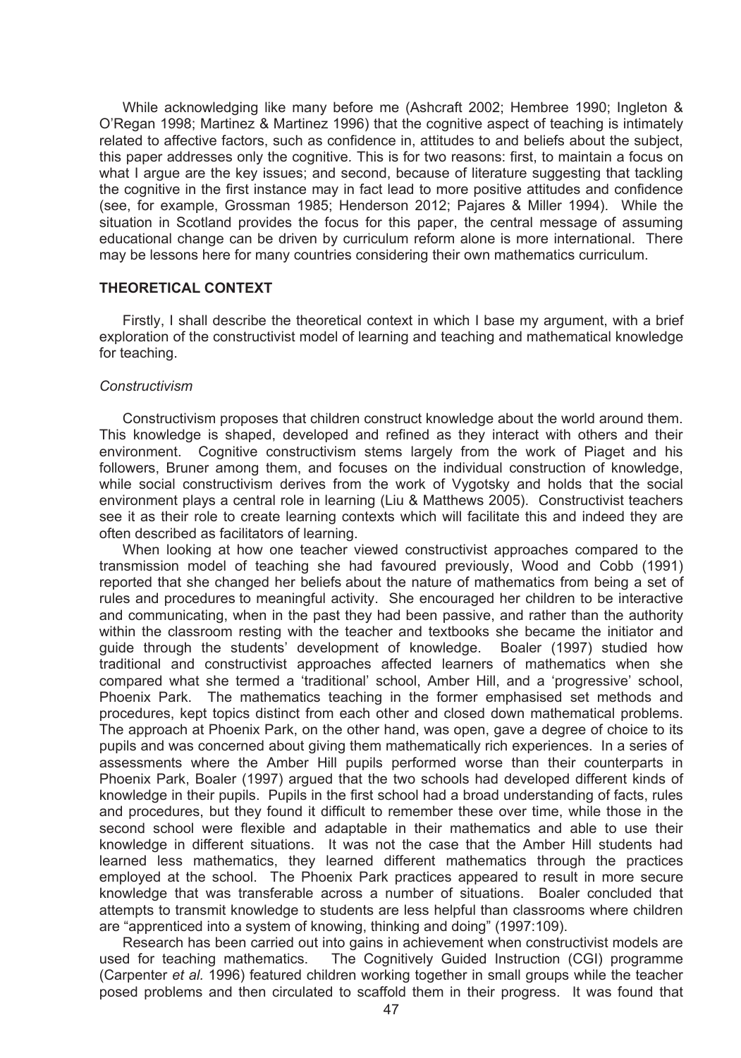While acknowledging like many before me (Ashcraft 2002; Hembree 1990; Ingleton & O'Regan 1998; Martinez & Martinez 1996) that the cognitive aspect of teaching is intimately related to affective factors, such as confidence in, attitudes to and beliefs about the subject, this paper addresses only the cognitive*.* This is for two reasons: first, to maintain a focus on what I argue are the key issues; and second, because of literature suggesting that tackling the cognitive in the first instance may in fact lead to more positive attitudes and confidence (see, for example, Grossman 1985; Henderson 2012; Pajares & Miller 1994). While the situation in Scotland provides the focus for this paper, the central message of assuming educational change can be driven by curriculum reform alone is more international. There may be lessons here for many countries considering their own mathematics curriculum.

#### **THEORETICAL CONTEXT**

 Firstly, I shall describe the theoretical context in which I base my argument, with a brief exploration of the constructivist model of learning and teaching and mathematical knowledge for teaching.

#### *Constructivism*

 Constructivism proposes that children construct knowledge about the world around them. This knowledge is shaped, developed and refined as they interact with others and their environment. Cognitive constructivism stems largely from the work of Piaget and his followers, Bruner among them, and focuses on the individual construction of knowledge, while social constructivism derives from the work of Vygotsky and holds that the social environment plays a central role in learning (Liu & Matthews 2005). Constructivist teachers see it as their role to create learning contexts which will facilitate this and indeed they are often described as facilitators of learning.

 When looking at how one teacher viewed constructivist approaches compared to the transmission model of teaching she had favoured previously, Wood and Cobb (1991) reported that she changed her beliefs about the nature of mathematics from being a set of rules and procedures to meaningful activity. She encouraged her children to be interactive and communicating, when in the past they had been passive, and rather than the authority within the classroom resting with the teacher and textbooks she became the initiator and guide through the students' development of knowledge. Boaler (1997) studied how traditional and constructivist approaches affected learners of mathematics when she compared what she termed a 'traditional' school, Amber Hill, and a 'progressive' school, Phoenix Park. The mathematics teaching in the former emphasised set methods and procedures, kept topics distinct from each other and closed down mathematical problems. The approach at Phoenix Park, on the other hand, was open, gave a degree of choice to its pupils and was concerned about giving them mathematically rich experiences. In a series of assessments where the Amber Hill pupils performed worse than their counterparts in Phoenix Park, Boaler (1997) argued that the two schools had developed different kinds of knowledge in their pupils. Pupils in the first school had a broad understanding of facts, rules and procedures, but they found it difficult to remember these over time, while those in the second school were flexible and adaptable in their mathematics and able to use their knowledge in different situations. It was not the case that the Amber Hill students had learned less mathematics, they learned different mathematics through the practices employed at the school. The Phoenix Park practices appeared to result in more secure knowledge that was transferable across a number of situations. Boaler concluded that attempts to transmit knowledge to students are less helpful than classrooms where children are "apprenticed into a system of knowing, thinking and doing" (1997:109).

 Research has been carried out into gains in achievement when constructivist models are used for teaching mathematics. The Cognitively Guided Instruction (CGI) programme (Carpenter *et al.* 1996) featured children working together in small groups while the teacher posed problems and then circulated to scaffold them in their progress. It was found that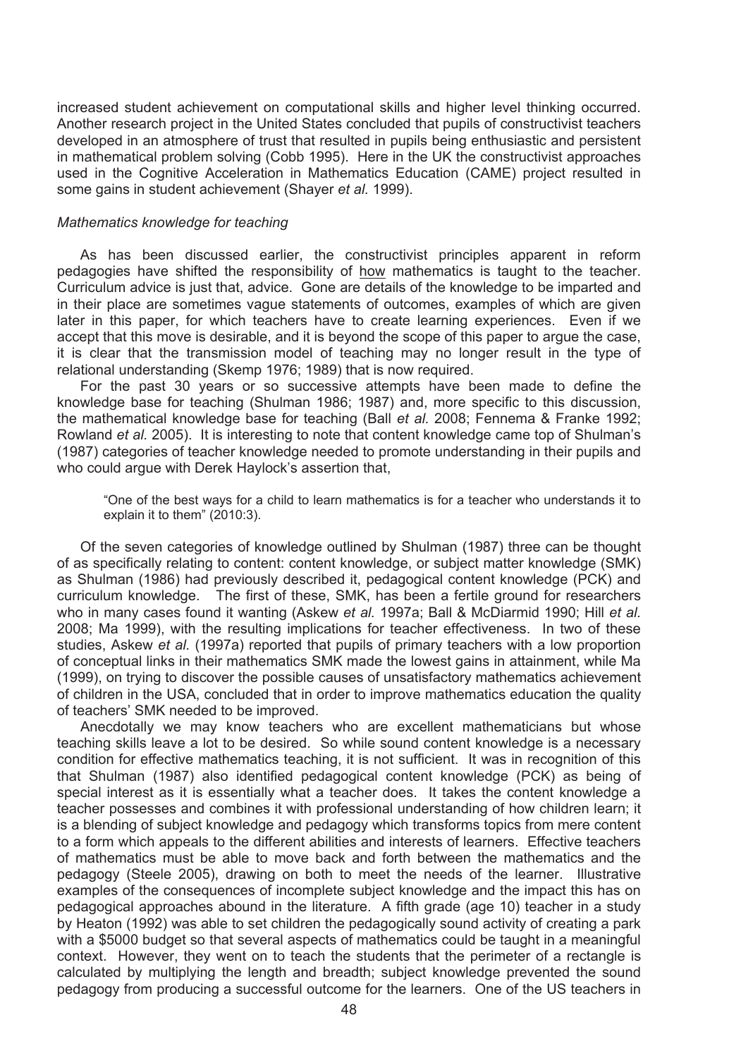increased student achievement on computational skills and higher level thinking occurred. Another research project in the United States concluded that pupils of constructivist teachers developed in an atmosphere of trust that resulted in pupils being enthusiastic and persistent in mathematical problem solving (Cobb 1995). Here in the UK the constructivist approaches used in the Cognitive Acceleration in Mathematics Education (CAME) project resulted in some gains in student achievement (Shayer *et al.* 1999).

## *Mathematics knowledge for teaching*

 As has been discussed earlier, the constructivist principles apparent in reform pedagogies have shifted the responsibility of how mathematics is taught to the teacher. Curriculum advice is just that, advice. Gone are details of the knowledge to be imparted and in their place are sometimes vague statements of outcomes, examples of which are given later in this paper, for which teachers have to create learning experiences. Even if we accept that this move is desirable, and it is beyond the scope of this paper to argue the case, it is clear that the transmission model of teaching may no longer result in the type of relational understanding (Skemp 1976; 1989) that is now required.

 For the past 30 years or so successive attempts have been made to define the knowledge base for teaching (Shulman 1986; 1987) and, more specific to this discussion, the mathematical knowledge base for teaching (Ball *et al.* 2008; Fennema & Franke 1992; Rowland *et al.* 2005). It is interesting to note that content knowledge came top of Shulman's (1987) categories of teacher knowledge needed to promote understanding in their pupils and who could argue with Derek Haylock's assertion that,

"One of the best ways for a child to learn mathematics is for a teacher who understands it to explain it to them" (2010:3).

 Of the seven categories of knowledge outlined by Shulman (1987) three can be thought of as specifically relating to content: content knowledge, or subject matter knowledge (SMK) as Shulman (1986) had previously described it, pedagogical content knowledge (PCK) and curriculum knowledge. The first of these, SMK, has been a fertile ground for researchers who in many cases found it wanting (Askew *et al.* 1997a; Ball & McDiarmid 1990; Hill *et al.* 2008; Ma 1999), with the resulting implications for teacher effectiveness. In two of these studies, Askew *et al.* (1997a) reported that pupils of primary teachers with a low proportion of conceptual links in their mathematics SMK made the lowest gains in attainment, while Ma (1999), on trying to discover the possible causes of unsatisfactory mathematics achievement of children in the USA, concluded that in order to improve mathematics education the quality of teachers' SMK needed to be improved.

 Anecdotally we may know teachers who are excellent mathematicians but whose teaching skills leave a lot to be desired. So while sound content knowledge is a necessary condition for effective mathematics teaching, it is not sufficient. It was in recognition of this that Shulman (1987) also identified pedagogical content knowledge (PCK) as being of special interest as it is essentially what a teacher does. It takes the content knowledge a teacher possesses and combines it with professional understanding of how children learn; it is a blending of subject knowledge and pedagogy which transforms topics from mere content to a form which appeals to the different abilities and interests of learners. Effective teachers of mathematics must be able to move back and forth between the mathematics and the pedagogy (Steele 2005), drawing on both to meet the needs of the learner. Illustrative examples of the consequences of incomplete subject knowledge and the impact this has on pedagogical approaches abound in the literature. A fifth grade (age 10) teacher in a study by Heaton (1992) was able to set children the pedagogically sound activity of creating a park with a \$5000 budget so that several aspects of mathematics could be taught in a meaningful context. However, they went on to teach the students that the perimeter of a rectangle is calculated by multiplying the length and breadth; subject knowledge prevented the sound pedagogy from producing a successful outcome for the learners. One of the US teachers in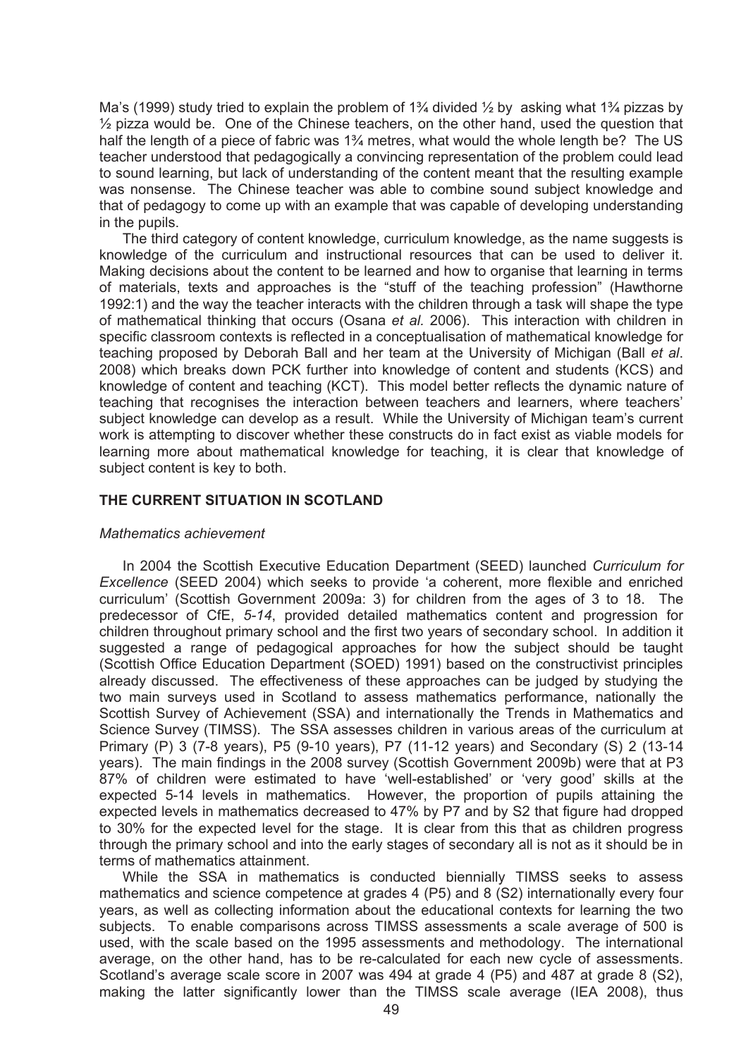Ma's (1999) study tried to explain the problem of  $1\frac{3}{4}$  divided  $\frac{1}{2}$  by asking what  $1\frac{3}{4}$  pizzas by  $\frac{1}{2}$  pizza would be. One of the Chinese teachers, on the other hand, used the question that half the length of a piece of fabric was 1<sup>3</sup>/<sub>4</sub> metres, what would the whole length be? The US teacher understood that pedagogically a convincing representation of the problem could lead to sound learning, but lack of understanding of the content meant that the resulting example was nonsense. The Chinese teacher was able to combine sound subject knowledge and that of pedagogy to come up with an example that was capable of developing understanding in the pupils.

 The third category of content knowledge, curriculum knowledge, as the name suggests is knowledge of the curriculum and instructional resources that can be used to deliver it. Making decisions about the content to be learned and how to organise that learning in terms of materials, texts and approaches is the "stuff of the teaching profession" (Hawthorne 1992:1) and the way the teacher interacts with the children through a task will shape the type of mathematical thinking that occurs (Osana *et al.* 2006). This interaction with children in specific classroom contexts is reflected in a conceptualisation of mathematical knowledge for teaching proposed by Deborah Ball and her team at the University of Michigan (Ball *et al*. 2008) which breaks down PCK further into knowledge of content and students (KCS) and knowledge of content and teaching (KCT). This model better reflects the dynamic nature of teaching that recognises the interaction between teachers and learners, where teachers' subject knowledge can develop as a result. While the University of Michigan team's current work is attempting to discover whether these constructs do in fact exist as viable models for learning more about mathematical knowledge for teaching, it is clear that knowledge of subject content is key to both.

### **THE CURRENT SITUATION IN SCOTLAND**

#### *Mathematics achievement*

 In 2004 the Scottish Executive Education Department (SEED) launched *Curriculum for Excellence* (SEED 2004) which seeks to provide 'a coherent, more flexible and enriched curriculum' (Scottish Government 2009a: 3) for children from the ages of 3 to 18. The predecessor of CfE, *5-14*, provided detailed mathematics content and progression for children throughout primary school and the first two years of secondary school. In addition it suggested a range of pedagogical approaches for how the subject should be taught (Scottish Office Education Department (SOED) 1991) based on the constructivist principles already discussed. The effectiveness of these approaches can be judged by studying the two main surveys used in Scotland to assess mathematics performance, nationally the Scottish Survey of Achievement (SSA) and internationally the Trends in Mathematics and Science Survey (TIMSS). The SSA assesses children in various areas of the curriculum at Primary (P) 3 (7-8 years), P5 (9-10 years), P7 (11-12 years) and Secondary (S) 2 (13-14 years). The main findings in the 2008 survey (Scottish Government 2009b) were that at P3 87% of children were estimated to have 'well-established' or 'very good' skills at the expected 5-14 levels in mathematics. However, the proportion of pupils attaining the expected levels in mathematics decreased to 47% by P7 and by S2 that figure had dropped to 30% for the expected level for the stage. It is clear from this that as children progress through the primary school and into the early stages of secondary all is not as it should be in terms of mathematics attainment.

 While the SSA in mathematics is conducted biennially TIMSS seeks to assess mathematics and science competence at grades 4 (P5) and 8 (S2) internationally every four years, as well as collecting information about the educational contexts for learning the two subjects. To enable comparisons across TIMSS assessments a scale average of 500 is used, with the scale based on the 1995 assessments and methodology. The international average, on the other hand, has to be re-calculated for each new cycle of assessments. Scotland's average scale score in 2007 was 494 at grade 4 (P5) and 487 at grade 8 (S2), making the latter significantly lower than the TIMSS scale average (IEA 2008), thus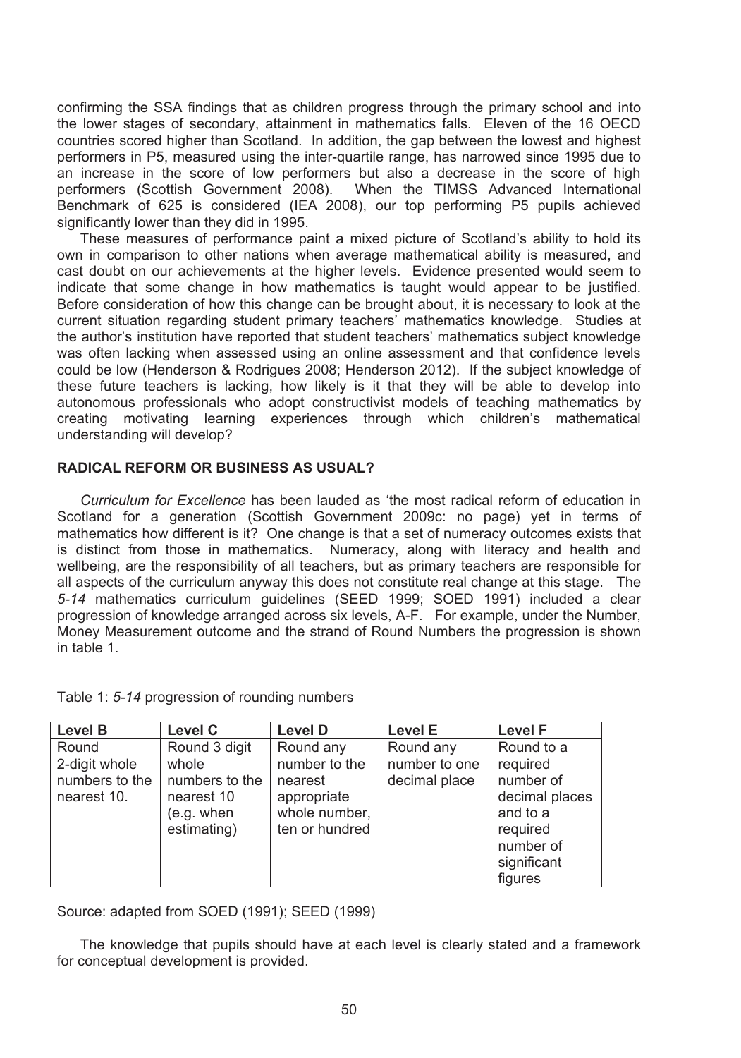confirming the SSA findings that as children progress through the primary school and into the lower stages of secondary, attainment in mathematics falls. Eleven of the 16 OECD countries scored higher than Scotland. In addition, the gap between the lowest and highest performers in P5, measured using the inter-quartile range, has narrowed since 1995 due to an increase in the score of low performers but also a decrease in the score of high performers (Scottish Government 2008). When the TIMSS Advanced International Benchmark of 625 is considered (IEA 2008), our top performing P5 pupils achieved significantly lower than they did in 1995.

 These measures of performance paint a mixed picture of Scotland's ability to hold its own in comparison to other nations when average mathematical ability is measured, and cast doubt on our achievements at the higher levels. Evidence presented would seem to indicate that some change in how mathematics is taught would appear to be justified. Before consideration of how this change can be brought about, it is necessary to look at the current situation regarding student primary teachers' mathematics knowledge. Studies at the author's institution have reported that student teachers' mathematics subject knowledge was often lacking when assessed using an online assessment and that confidence levels could be low (Henderson & Rodrigues 2008; Henderson 2012). If the subject knowledge of these future teachers is lacking, how likely is it that they will be able to develop into autonomous professionals who adopt constructivist models of teaching mathematics by creating motivating learning experiences through which children's mathematical understanding will develop?

### **RADICAL REFORM OR BUSINESS AS USUAL?**

 *Curriculum for Excellence* has been lauded as 'the most radical reform of education in Scotland for a generation (Scottish Government 2009c: no page) yet in terms of mathematics how different is it? One change is that a set of numeracy outcomes exists that is distinct from those in mathematics. Numeracy, along with literacy and health and wellbeing, are the responsibility of all teachers, but as primary teachers are responsible for all aspects of the curriculum anyway this does not constitute real change at this stage. The *5-14* mathematics curriculum guidelines (SEED 1999; SOED 1991) included a clear progression of knowledge arranged across six levels, A-F. For example, under the Number, Money Measurement outcome and the strand of Round Numbers the progression is shown in table 1.

|  | Table 1: 5-14 progression of rounding numbers |  |  |
|--|-----------------------------------------------|--|--|
|--|-----------------------------------------------|--|--|

| <b>Level B</b> | Level C        | <b>Level D</b> | <b>Level E</b> | <b>Level F</b> |
|----------------|----------------|----------------|----------------|----------------|
| Round          | Round 3 digit  | Round any      | Round any      | Round to a     |
| 2-digit whole  | whole          | number to the  | number to one  | required       |
| numbers to the | numbers to the | nearest        | decimal place  | number of      |
| nearest 10.    | nearest 10     | appropriate    |                | decimal places |
|                | (e.g. when     | whole number,  |                | and to a       |
|                | estimating)    | ten or hundred |                | required       |
|                |                |                |                | number of      |
|                |                |                |                | significant    |
|                |                |                |                | figures        |

Source: adapted from SOED (1991); SEED (1999)

 The knowledge that pupils should have at each level is clearly stated and a framework for conceptual development is provided.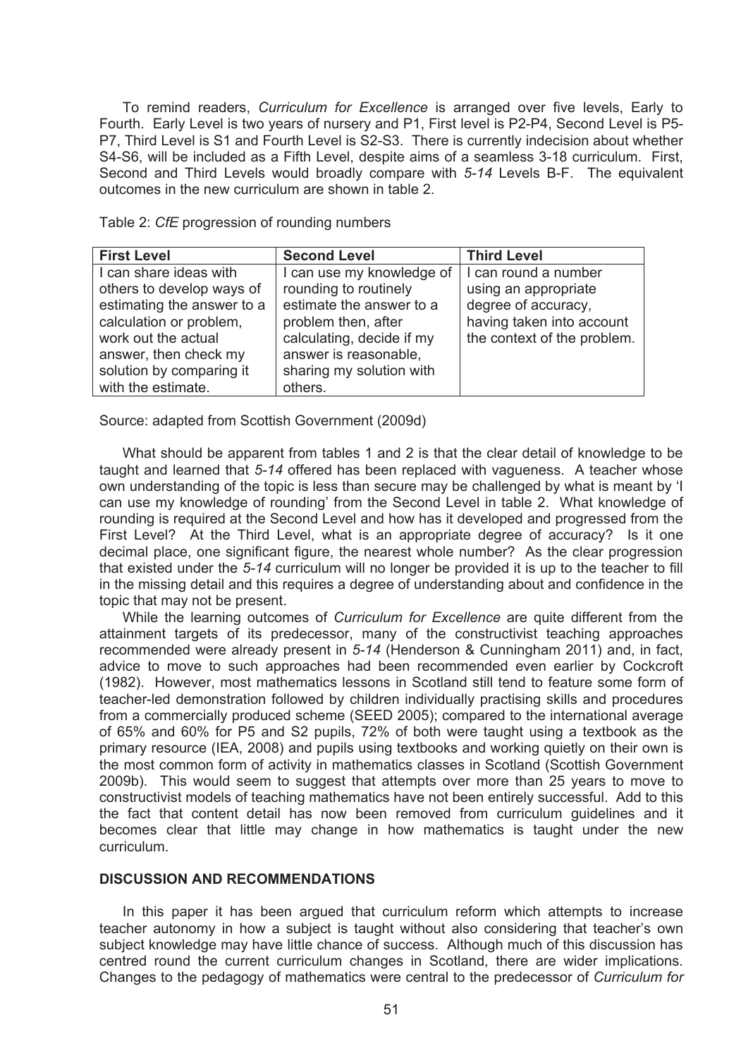To remind readers, *Curriculum for Excellence* is arranged over five levels, Early to Fourth. Early Level is two years of nursery and P1, First level is P2-P4, Second Level is P5- P7, Third Level is S1 and Fourth Level is S2-S3. There is currently indecision about whether S4-S6, will be included as a Fifth Level, despite aims of a seamless 3-18 curriculum. First, Second and Third Levels would broadly compare with *5-14* Levels B-F. The equivalent outcomes in the new curriculum are shown in table 2.

Table 2: *CfE* progression of rounding numbers

| <b>First Level</b>         | <b>Second Level</b>       | <b>Third Level</b>          |
|----------------------------|---------------------------|-----------------------------|
| I can share ideas with     | I can use my knowledge of | I can round a number        |
| others to develop ways of  | rounding to routinely     | using an appropriate        |
| estimating the answer to a | estimate the answer to a  | degree of accuracy,         |
| calculation or problem,    | problem then, after       | having taken into account   |
| work out the actual        | calculating, decide if my | the context of the problem. |
| answer, then check my      | answer is reasonable,     |                             |
| solution by comparing it   | sharing my solution with  |                             |
| with the estimate.         | others.                   |                             |

Source: adapted from Scottish Government (2009d)

 What should be apparent from tables 1 and 2 is that the clear detail of knowledge to be taught and learned that *5-14* offered has been replaced with vagueness. A teacher whose own understanding of the topic is less than secure may be challenged by what is meant by 'I can use my knowledge of rounding' from the Second Level in table 2. What knowledge of rounding is required at the Second Level and how has it developed and progressed from the First Level? At the Third Level, what is an appropriate degree of accuracy? Is it one decimal place, one significant figure, the nearest whole number? As the clear progression that existed under the *5-14* curriculum will no longer be provided it is up to the teacher to fill in the missing detail and this requires a degree of understanding about and confidence in the topic that may not be present.

 While the learning outcomes of *Curriculum for Excellence* are quite different from the attainment targets of its predecessor, many of the constructivist teaching approaches recommended were already present in *5-14* (Henderson & Cunningham 2011) and, in fact, advice to move to such approaches had been recommended even earlier by Cockcroft (1982). However, most mathematics lessons in Scotland still tend to feature some form of teacher-led demonstration followed by children individually practising skills and procedures from a commercially produced scheme (SEED 2005); compared to the international average of 65% and 60% for P5 and S2 pupils, 72% of both were taught using a textbook as the primary resource (IEA, 2008) and pupils using textbooks and working quietly on their own is the most common form of activity in mathematics classes in Scotland (Scottish Government 2009b). This would seem to suggest that attempts over more than 25 years to move to constructivist models of teaching mathematics have not been entirely successful. Add to this the fact that content detail has now been removed from curriculum guidelines and it becomes clear that little may change in how mathematics is taught under the new curriculum.

## **DISCUSSION AND RECOMMENDATIONS**

 In this paper it has been argued that curriculum reform which attempts to increase teacher autonomy in how a subject is taught without also considering that teacher's own subject knowledge may have little chance of success. Although much of this discussion has centred round the current curriculum changes in Scotland, there are wider implications. Changes to the pedagogy of mathematics were central to the predecessor of *Curriculum for*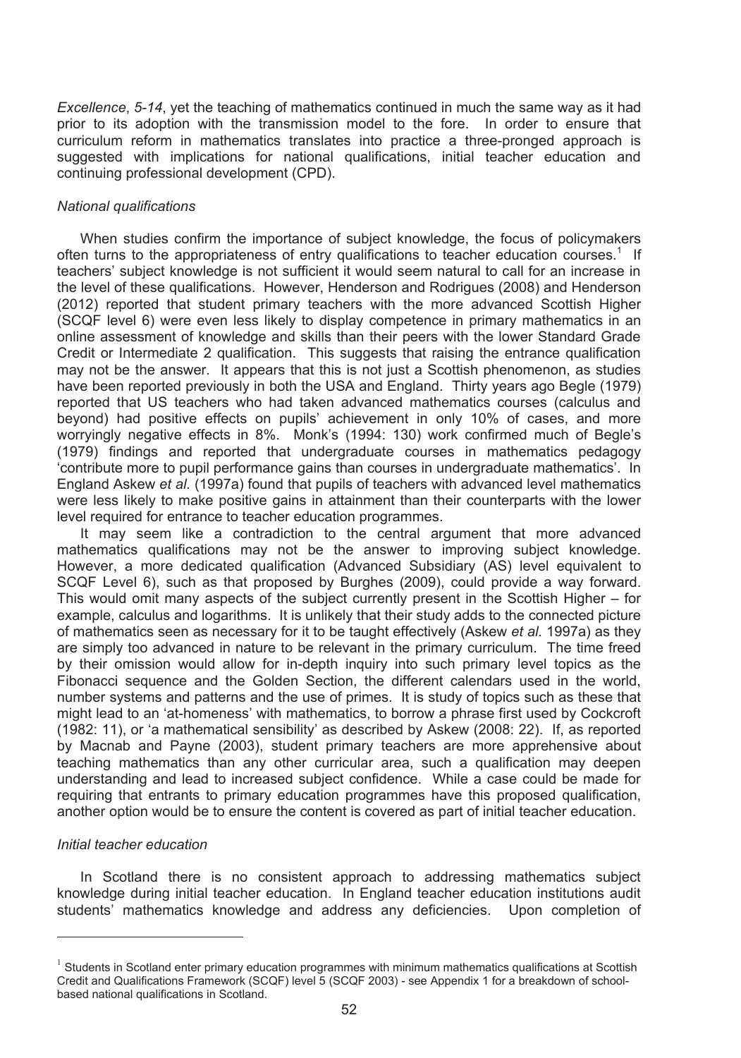*Excellence*, *5-14*, yet the teaching of mathematics continued in much the same way as it had prior to its adoption with the transmission model to the fore. In order to ensure that curriculum reform in mathematics translates into practice a three-pronged approach is suggested with implications for national qualifications, initial teacher education and continuing professional development (CPD).

### *National qualifications*

 When studies confirm the importance of subject knowledge, the focus of policymakers often turns to the appropriateness of entry qualifications to teacher education courses.<sup>1</sup> If teachers' subject knowledge is not sufficient it would seem natural to call for an increase in the level of these qualifications. However, Henderson and Rodrigues (2008) and Henderson (2012) reported that student primary teachers with the more advanced Scottish Higher (SCQF level 6) were even less likely to display competence in primary mathematics in an online assessment of knowledge and skills than their peers with the lower Standard Grade Credit or Intermediate 2 qualification. This suggests that raising the entrance qualification may not be the answer. It appears that this is not just a Scottish phenomenon, as studies have been reported previously in both the USA and England. Thirty years ago Begle (1979) reported that US teachers who had taken advanced mathematics courses (calculus and beyond) had positive effects on pupils' achievement in only 10% of cases, and more worryingly negative effects in 8%. Monk's (1994: 130) work confirmed much of Begle's (1979) findings and reported that undergraduate courses in mathematics pedagogy 'contribute more to pupil performance gains than courses in undergraduate mathematics'. In England Askew *et al.* (1997a) found that pupils of teachers with advanced level mathematics were less likely to make positive gains in attainment than their counterparts with the lower level required for entrance to teacher education programmes.

 It may seem like a contradiction to the central argument that more advanced mathematics qualifications may not be the answer to improving subject knowledge. However, a more dedicated qualification (Advanced Subsidiary (AS) level equivalent to SCQF Level 6), such as that proposed by Burghes (2009), could provide a way forward. This would omit many aspects of the subject currently present in the Scottish Higher – for example, calculus and logarithms. It is unlikely that their study adds to the connected picture of mathematics seen as necessary for it to be taught effectively (Askew *et al.* 1997a) as they are simply too advanced in nature to be relevant in the primary curriculum. The time freed by their omission would allow for in-depth inquiry into such primary level topics as the Fibonacci sequence and the Golden Section, the different calendars used in the world, number systems and patterns and the use of primes. It is study of topics such as these that might lead to an 'at-homeness' with mathematics, to borrow a phrase first used by Cockcroft (1982: 11), or 'a mathematical sensibility' as described by Askew (2008: 22). If, as reported by Macnab and Payne (2003), student primary teachers are more apprehensive about teaching mathematics than any other curricular area, such a qualification may deepen understanding and lead to increased subject confidence. While a case could be made for requiring that entrants to primary education programmes have this proposed qualification, another option would be to ensure the content is covered as part of initial teacher education.

## *Initial teacher education*

-

 In Scotland there is no consistent approach to addressing mathematics subject knowledge during initial teacher education. In England teacher education institutions audit students' mathematics knowledge and address any deficiencies. Upon completion of

<sup>&</sup>lt;sup>1</sup> Students in Scotland enter primary education programmes with minimum mathematics qualifications at Scottish Credit and Qualifications Framework (SCQF) level 5 (SCQF 2003) - see Appendix 1 for a breakdown of schoolbased national qualifications in Scotland.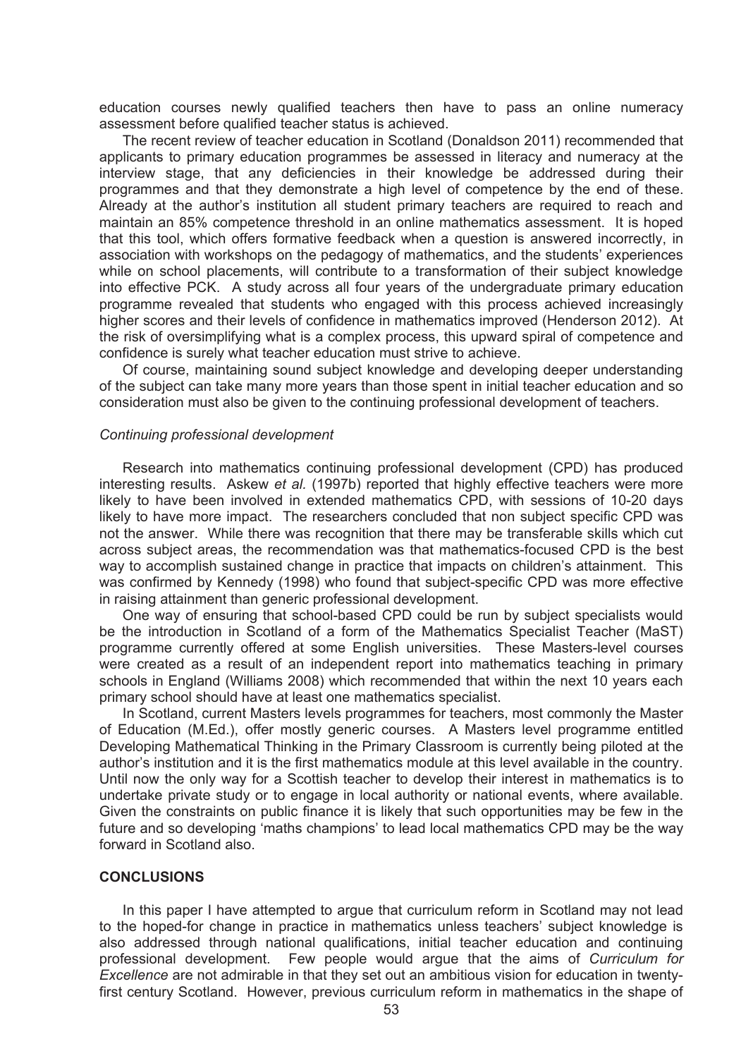education courses newly qualified teachers then have to pass an online numeracy assessment before qualified teacher status is achieved.

 The recent review of teacher education in Scotland (Donaldson 2011) recommended that applicants to primary education programmes be assessed in literacy and numeracy at the interview stage, that any deficiencies in their knowledge be addressed during their programmes and that they demonstrate a high level of competence by the end of these. Already at the author's institution all student primary teachers are required to reach and maintain an 85% competence threshold in an online mathematics assessment. It is hoped that this tool, which offers formative feedback when a question is answered incorrectly, in association with workshops on the pedagogy of mathematics, and the students' experiences while on school placements, will contribute to a transformation of their subject knowledge into effective PCK. A study across all four years of the undergraduate primary education programme revealed that students who engaged with this process achieved increasingly higher scores and their levels of confidence in mathematics improved (Henderson 2012). At the risk of oversimplifying what is a complex process, this upward spiral of competence and confidence is surely what teacher education must strive to achieve.

 Of course, maintaining sound subject knowledge and developing deeper understanding of the subject can take many more years than those spent in initial teacher education and so consideration must also be given to the continuing professional development of teachers.

## *Continuing professional development*

 Research into mathematics continuing professional development (CPD) has produced interesting results. Askew *et al.* (1997b) reported that highly effective teachers were more likely to have been involved in extended mathematics CPD, with sessions of 10-20 days likely to have more impact. The researchers concluded that non subject specific CPD was not the answer. While there was recognition that there may be transferable skills which cut across subject areas, the recommendation was that mathematics-focused CPD is the best way to accomplish sustained change in practice that impacts on children's attainment. This was confirmed by Kennedy (1998) who found that subject-specific CPD was more effective in raising attainment than generic professional development.

 One way of ensuring that school-based CPD could be run by subject specialists would be the introduction in Scotland of a form of the Mathematics Specialist Teacher (MaST) programme currently offered at some English universities. These Masters-level courses were created as a result of an independent report into mathematics teaching in primary schools in England (Williams 2008) which recommended that within the next 10 years each primary school should have at least one mathematics specialist.

 In Scotland, current Masters levels programmes for teachers, most commonly the Master of Education (M.Ed.), offer mostly generic courses. A Masters level programme entitled Developing Mathematical Thinking in the Primary Classroom is currently being piloted at the author's institution and it is the first mathematics module at this level available in the country. Until now the only way for a Scottish teacher to develop their interest in mathematics is to undertake private study or to engage in local authority or national events, where available. Given the constraints on public finance it is likely that such opportunities may be few in the future and so developing 'maths champions' to lead local mathematics CPD may be the way forward in Scotland also.

#### **CONCLUSIONS**

 In this paper I have attempted to argue that curriculum reform in Scotland may not lead to the hoped-for change in practice in mathematics unless teachers' subject knowledge is also addressed through national qualifications, initial teacher education and continuing professional development. Few people would argue that the aims of *Curriculum for Excellence* are not admirable in that they set out an ambitious vision for education in twentyfirst century Scotland. However, previous curriculum reform in mathematics in the shape of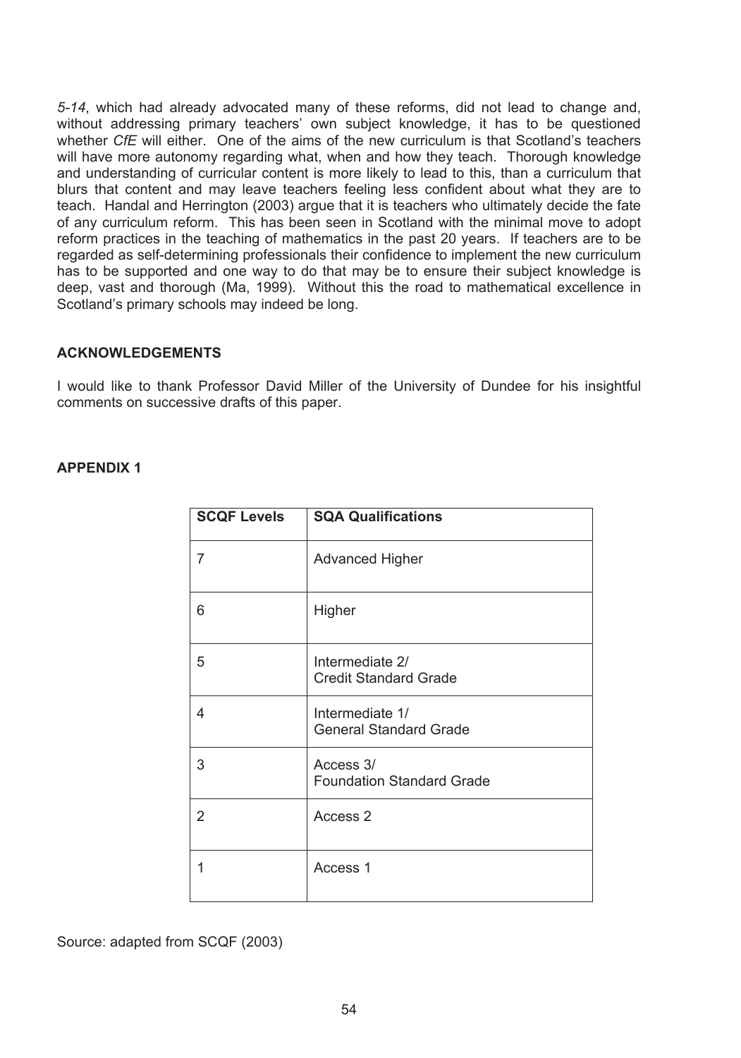*5-14*, which had already advocated many of these reforms, did not lead to change and, without addressing primary teachers' own subject knowledge, it has to be questioned whether *CfE* will either. One of the aims of the new curriculum is that Scotland's teachers will have more autonomy regarding what, when and how they teach. Thorough knowledge and understanding of curricular content is more likely to lead to this, than a curriculum that blurs that content and may leave teachers feeling less confident about what they are to teach. Handal and Herrington (2003) argue that it is teachers who ultimately decide the fate of any curriculum reform. This has been seen in Scotland with the minimal move to adopt reform practices in the teaching of mathematics in the past 20 years. If teachers are to be regarded as self-determining professionals their confidence to implement the new curriculum has to be supported and one way to do that may be to ensure their subject knowledge is deep, vast and thorough (Ma, 1999). Without this the road to mathematical excellence in Scotland's primary schools may indeed be long.

## **ACKNOWLEDGEMENTS**

I would like to thank Professor David Miller of the University of Dundee for his insightful comments on successive drafts of this paper.

## **APPENDIX 1**

| <b>SCQF Levels</b> | <b>SQA Qualifications</b>                        |
|--------------------|--------------------------------------------------|
| 7                  | Advanced Higher                                  |
| 6                  | Higher                                           |
| 5                  | Intermediate 2/<br><b>Credit Standard Grade</b>  |
| 4                  | Intermediate 1/<br><b>General Standard Grade</b> |
| 3                  | Access 3/<br><b>Foundation Standard Grade</b>    |
| 2                  | Access 2                                         |
| 1                  | Access 1                                         |

Source: adapted from SCQF (2003)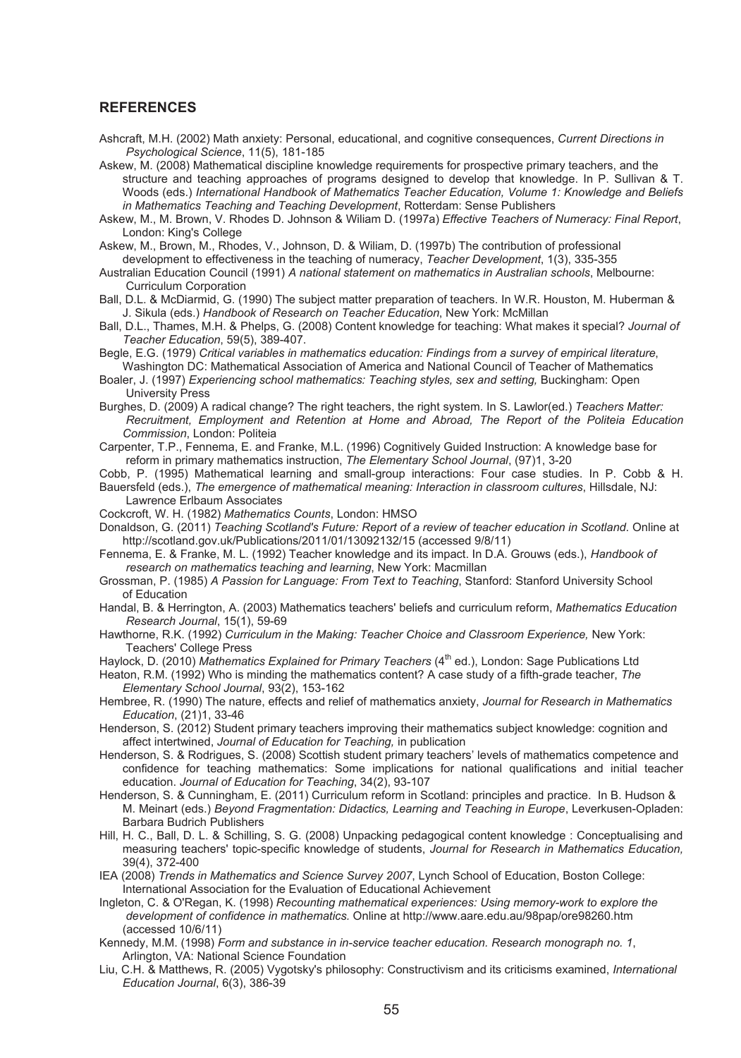#### **REFERENCES**

- Ashcraft, M.H. (2002) Math anxiety: Personal, educational, and cognitive consequences, *Current Directions in Psychological Science*, 11(5), 181-185
- Askew, M. (2008) Mathematical discipline knowledge requirements for prospective primary teachers, and the structure and teaching approaches of programs designed to develop that knowledge. In P. Sullivan & T. Woods (eds.) *International Handbook of Mathematics Teacher Education, Volume 1: Knowledge and Beliefs in Mathematics Teaching and Teaching Development*, Rotterdam: Sense Publishers
- Askew, M., M. Brown, V. Rhodes D. Johnson & Wiliam D. (1997a) *Effective Teachers of Numeracy: Final Report*, London: King's College
- Askew, M., Brown, M., Rhodes, V., Johnson, D. & Wiliam, D. (1997b) The contribution of professional development to effectiveness in the teaching of numeracy, *Teacher Development*, 1(3), 335-355
- Australian Education Council (1991) *A national statement on mathematics in Australian schools*, Melbourne: Curriculum Corporation
- Ball, D.L. & McDiarmid, G. (1990) The subject matter preparation of teachers. In W.R. Houston, M. Huberman & J. Sikula (eds.) *Handbook of Research on Teacher Education*, New York: McMillan
- Ball, D.L., Thames, M.H. & Phelps, G. (2008) Content knowledge for teaching: What makes it special? *Journal of Teacher Education*, 59(5), 389-407.
- Begle, E.G. (1979) *Critical variables in mathematics education: Findings from a survey of empirical literature*, Washington DC: Mathematical Association of America and National Council of Teacher of Mathematics
- Boaler, J. (1997) *Experiencing school mathematics: Teaching styles, sex and setting, Buckingham: Open* University Press
- Burghes, D. (2009) A radical change? The right teachers, the right system. In S. Lawlor(ed.) *Teachers Matter: Recruitment, Employment and Retention at Home and Abroad, The Report of the Politeia Education Commission*, London: Politeia
- Carpenter, T.P., Fennema, E. and Franke, M.L. (1996) Cognitively Guided Instruction: A knowledge base for reform in primary mathematics instruction, *The Elementary School Journal*, (97)1, 3-20
- Cobb, P. (1995) Mathematical learning and small-group interactions: Four case studies. In P. Cobb & H. Bauersfeld (eds.), *The emergence of mathematical meaning: Interaction in classroom cultures*, Hillsdale, NJ: Lawrence Erlbaum Associates
- Cockcroft, W. H. (1982) *Mathematics Counts*, London: HMSO

Donaldson, G. (2011) *Teaching Scotland's Future: Report of a review of teacher education in Scotland*. Online at http://scotland.gov.uk/Publications/2011/01/13092132/15 (accessed 9/8/11)

- Fennema, E. & Franke, M. L. (1992) Teacher knowledge and its impact. In D.A. Grouws (eds.), *Handbook of research on mathematics teaching and learning*, New York: Macmillan
- Grossman, P. (1985) *A Passion for Language: From Text to Teaching*, Stanford: Stanford University School of Education
- Handal, B. & Herrington, A. (2003) Mathematics teachers' beliefs and curriculum reform, *Mathematics Education Research Journal*, 15(1), 59-69
- Hawthorne, R.K. (1992) *Curriculum in the Making: Teacher Choice and Classroom Experience,* New York: Teachers' College Press

Haylock, D. (2010) Mathematics Explained for Primary Teachers (4<sup>th</sup> ed.), London: Sage Publications Ltd

- Heaton, R.M. (1992) Who is minding the mathematics content? A case study of a fifth-grade teacher, *The Elementary School Journal*, 93(2), 153-162
- Hembree, R. (1990) The nature, effects and relief of mathematics anxiety, *Journal for Research in Mathematics Education*, (21)1, 33-46
- Henderson, S. (2012) Student primary teachers improving their mathematics subject knowledge: cognition and affect intertwined, *Journal of Education for Teaching,* in publication
- Henderson, S. & Rodrigues, S. (2008) Scottish student primary teachers' levels of mathematics competence and confidence for teaching mathematics: Some implications for national qualifications and initial teacher education. *Journal of Education for Teaching*, 34(2), 93-107
- Henderson, S. & Cunningham, E. (2011) Curriculum reform in Scotland: principles and practice. In B. Hudson & M. Meinart (eds.) *Beyond Fragmentation: Didactics, Learning and Teaching in Europe*, Leverkusen-Opladen: Barbara Budrich Publishers
- Hill, H. C., Ball, D. L. & Schilling, S. G. (2008) Unpacking pedagogical content knowledge : Conceptualising and measuring teachers' topic-specific knowledge of students, *Journal for Research in Mathematics Education,*  39(4), 372-400
- IEA (2008) *Trends in Mathematics and Science Survey 2007*, Lynch School of Education, Boston College: International Association for the Evaluation of Educational Achievement
- Ingleton, C. & O'Regan, K. (1998) *Recounting mathematical experiences: Using memory-work to explore the development of confidence in mathematics.* Online at http://www.aare.edu.au/98pap/ore98260.htm (accessed 10/6/11)
- Kennedy, M.M. (1998) *Form and substance in in-service teacher education. Research monograph no. 1*, Arlington, VA: National Science Foundation
- Liu, C.H. & Matthews, R. (2005) Vygotsky's philosophy: Constructivism and its criticisms examined, *International Education Journal*, 6(3), 386-39